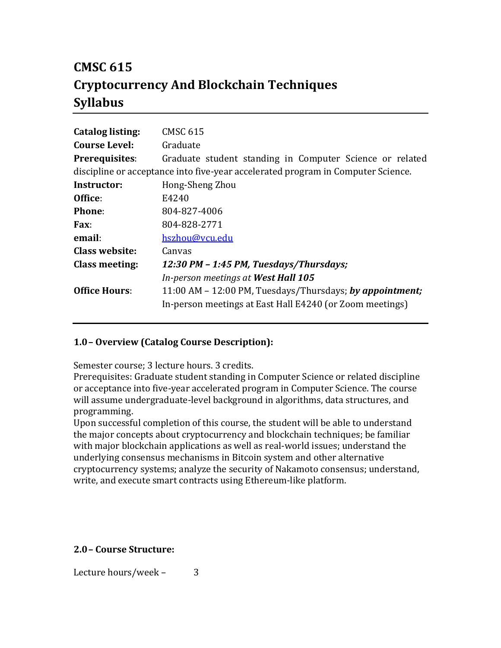# **CMSC 615 Cryptocurrency And Blockchain Techniques Syllabus**

| <b>Catalog listing:</b>                                                          | CMSC 615                                                 |  |
|----------------------------------------------------------------------------------|----------------------------------------------------------|--|
| <b>Course Level:</b>                                                             | Graduate                                                 |  |
| Prerequisites:                                                                   | Graduate student standing in Computer Science or related |  |
| discipline or acceptance into five-year accelerated program in Computer Science. |                                                          |  |
| Instructor:                                                                      | Hong-Sheng Zhou                                          |  |
| Office:                                                                          | E4240                                                    |  |
| Phone:                                                                           | 804-827-4006                                             |  |
| Fax:                                                                             | 804-828-2771                                             |  |
| email:                                                                           | hszhou@vcu.edu                                           |  |
| Class website:                                                                   | Canvas                                                   |  |
| <b>Class meeting:</b>                                                            | 12:30 PM - 1:45 PM, Tuesdays/Thursdays;                  |  |
|                                                                                  | In-person meetings at West Hall 105                      |  |
| <b>Office Hours:</b>                                                             | 11:00 AM – 12:00 PM, Tuesdays/Thursdays; by appointment; |  |
|                                                                                  | In-person meetings at East Hall E4240 (or Zoom meetings) |  |

## **1.0– Overview (Catalog Course Description):**

Semester course; 3 lecture hours. 3 credits.

Prerequisites: Graduate student standing in Computer Science or related discipline or acceptance into five-year accelerated program in Computer Science. The course will assume undergraduate-level background in algorithms, data structures, and programming.

Upon successful completion of this course, the student will be able to understand the major concepts about cryptocurrency and blockchain techniques; be familiar with major blockchain applications as well as real-world issues; understand the underlying consensus mechanisms in Bitcoin system and other alternative cryptocurrency systems; analyze the security of Nakamoto consensus; understand, write, and execute smart contracts using Ethereum-like platform.

## **2.0– Course Structure:**

Lecture hours/week – 3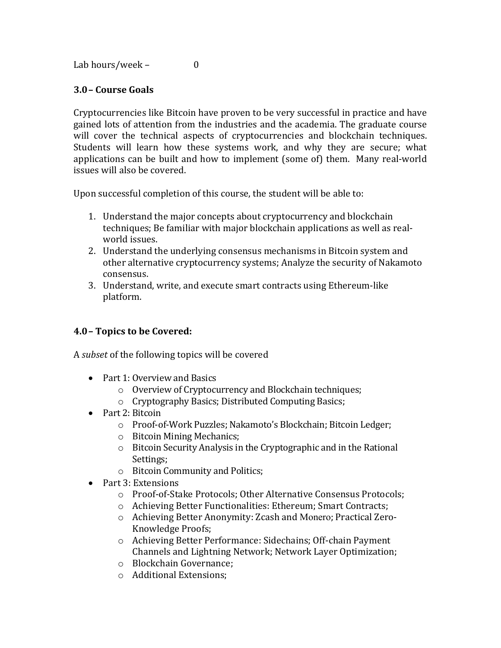Lab hours/week – 0

## **3.0– Course Goals**

Cryptocurrencies like Bitcoin have proven to be very successful in practice and have gained lots of attention from the industries and the academia. The graduate course will cover the technical aspects of cryptocurrencies and blockchain techniques. Students will learn how these systems work, and why they are secure; what applications can be built and how to implement (some of) them. Many real-world issues will also be covered.

Upon successful completion of this course, the student will be able to:

- 1. Understand the major concepts about cryptocurrency and blockchain techniques; Be familiar with major blockchain applications as well as realworld issues.
- 2. Understand the underlying consensus mechanisms in Bitcoin system and other alternative cryptocurrency systems; Analyze the security of Nakamoto consensus.
- 3. Understand, write, and execute smart contracts using Ethereum-like platform.

## **4.0– Topics to be Covered:**

A *subset* of the following topics will be covered

- Part 1: Overview and Basics
	- o Overview of Cryptocurrency and Blockchain techniques;
	- o Cryptography Basics; Distributed Computing Basics;
- Part 2: Bitcoin
	- o Proof-of-Work Puzzles; Nakamoto's Blockchain; Bitcoin Ledger;
	- o Bitcoin Mining Mechanics;
	- o Bitcoin Security Analysis in the Cryptographic and in the Rational Settings;
	- o Bitcoin Community and Politics;
- Part 3: Extensions
	- o Proof-of-Stake Protocols; Other Alternative Consensus Protocols;
	- o Achieving Better Functionalities: Ethereum; Smart Contracts;
	- o Achieving Better Anonymity: Zcash and Monero; Practical Zero-Knowledge Proofs;
	- o Achieving Better Performance: Sidechains; Off-chain Payment Channels and Lightning Network; Network Layer Optimization;
	- o Blockchain Governance;
	- o Additional Extensions;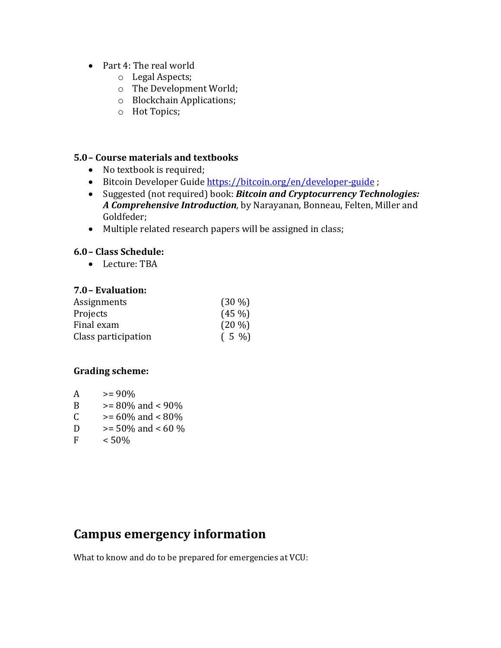- Part 4: The real world
	- o Legal Aspects;
	- o The Development World;
	- o Blockchain Applications;
	- o Hot Topics;

## **5.0– Course materials and textbooks**

- No textbook is required;
- Bitcoin Developer Guide<https://bitcoin.org/en/developer-guide>;
- Suggested (not required) book: *Bitcoin and Cryptocurrency Technologies: A Comprehensive Introduction,* by Narayanan, Bonneau, Felten, Miller and Goldfeder;
- Multiple related research papers will be assigned in class;

## **6.0– Class Schedule:**

• Lecture: TBA

### **7.0– Evaluation:**

| Assignments         | $(30\%)$ |
|---------------------|----------|
| Projects            | $(45\%)$ |
| Final exam          | $(20\%)$ |
| Class participation | $(5 \%)$ |

## **Grading scheme:**

| A | $>= 90\%$              |
|---|------------------------|
| B | $>= 80\%$ and $< 90\%$ |
| C | $>= 60\%$ and $< 80\%$ |
| D | $>= 50\%$ and $< 60\%$ |
| F | < 50%                  |

# **Campus emergency information**

What to know and do to be prepared for emergencies at VCU: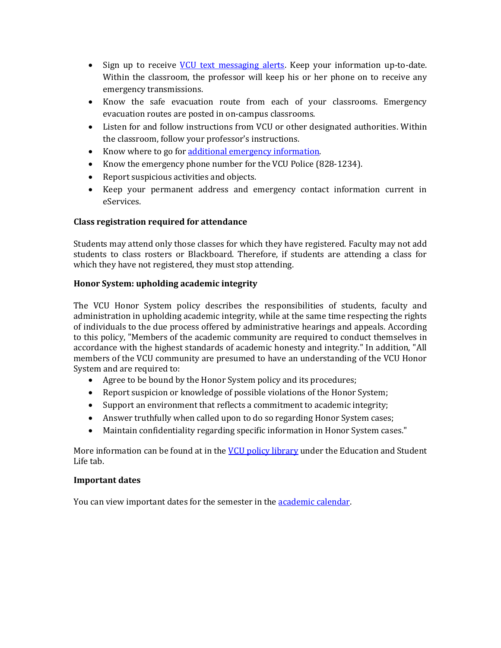- Sign up to receive [VCU text messaging alerts.](http://alert.vcu.edu/signup/index.php) Keep your information up-to-date. Within the classroom, the professor will keep his or her phone on to receive any emergency transmissions.
- Know the safe evacuation route from each of your classrooms. Emergency evacuation routes are posted in on-campus classrooms.
- Listen for and follow instructions from VCU or other designated authorities. Within the classroom, follow your professor's instructions.
- Know where to go for [additional emergency information.](http://www.vcu.edu/alert)
- Know the emergency phone number for the VCU Police (828-1234).
- Report suspicious activities and objects.
- Keep your permanent address and emergency contact information current in eServices.

#### **Class registration required for attendance**

Students may attend only those classes for which they have registered. Faculty may not add students to class rosters or Blackboard. Therefore, if students are attending a class for which they have not registered, they must stop attending.

#### **Honor System: upholding academic integrity**

The VCU Honor System policy describes the responsibilities of students, faculty and administration in upholding academic integrity, while at the same time respecting the rights of individuals to the due process offered by administrative hearings and appeals. According to this policy, "Members of the academic community are required to conduct themselves in accordance with the highest standards of academic honesty and integrity." In addition, "All members of the VCU community are presumed to have an understanding of the VCU Honor System and are required to:

- Agree to be bound by the Honor System policy and its procedures;
- Report suspicion or knowledge of possible violations of the Honor System;
- Support an environment that reflects a commitment to academic integrity;
- Answer truthfully when called upon to do so regarding Honor System cases;
- Maintain confidentiality regarding specific information in Honor System cases."

More information can be found at in the [VCU policy library](http://www.policy.vcu.edu/) under the Education and Student Life tab.

#### **Important dates**

You can view important dates for the semester in the **academic calendar**.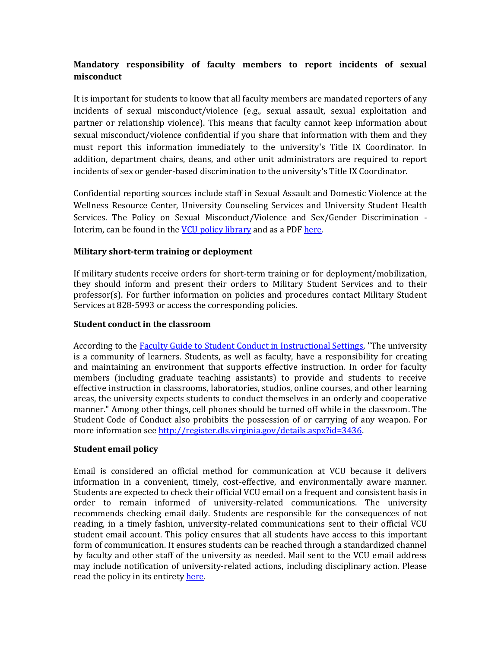## **Mandatory responsibility of faculty members to report incidents of sexual misconduct**

It is important for students to know that all faculty members are mandated reporters of any incidents of sexual misconduct/violence (e.g., sexual assault, sexual exploitation and partner or relationship violence). This means that faculty cannot keep information about sexual misconduct/violence confidential if you share that information with them and they must report this information immediately to the university's Title IX Coordinator. In addition, department chairs, deans, and other unit administrators are required to report incidents of sex or gender-based discrimination to the university's Title IX Coordinator.

Confidential reporting sources include staff in Sexual Assault and Domestic Violence at the Wellness Resource Center, University Counseling Services and University Student Health Services. The Policy on Sexual Misconduct/Violence and Sex/Gender Discrimination - Interim, can be found in the **VCU** policy library and as a PDF [here.](http://www.policy.vcu.edu/sites/default/files/Sexual%20Misconduct%20Violence%20and%20Sex%20Gender%20Discrimination.pdf)

#### **Military short-term training or deployment**

If military students receive orders for short-term training or for deployment/mobilization, they should inform and present their orders to Military Student Services and to their professor(s). For further information on policies and procedures contact Military Student Services at 828-5993 or access the corresponding policies.

#### **Student conduct in the classroom**

According to the **Faculty Guide to Student Conduct in Instructional Settings**, "The university is a community of learners. Students, as well as faculty, have a responsibility for creating and maintaining an environment that supports effective instruction. In order for faculty members (including graduate teaching assistants) to provide and students to receive effective instruction in classrooms, laboratories, studios, online courses, and other learning areas, the university expects students to conduct themselves in an orderly and cooperative manner." Among other things, cell phones should be turned off while in the classroom. The Student Code of Conduct also prohibits the possession of or carrying of any weapon. For more information see [http://register.dls.virginia.gov/details.aspx?id=3436.](http://register.dls.virginia.gov/details.aspx?id=3436)

#### **Student email policy**

Email is considered an official method for communication at VCU because it delivers information in a convenient, timely, cost-effective, and environmentally aware manner. Students are expected to check their official VCU email on a frequent and consistent basis in order to remain informed of university-related communications. The university recommends checking email daily. Students are responsible for the consequences of not reading, in a timely fashion, university-related communications sent to their official VCU student email account. This policy ensures that all students have access to this important form of communication. It ensures students can be reached through a standardized channel by faculty and other staff of the university as needed. Mail sent to the VCU email address may include notification of university-related actions, including disciplinary action. Please read the policy in its entiret[y here.](http://www.policy.vcu.edu/sites/default/files/Student%20Email%20Policy_0.pdf)